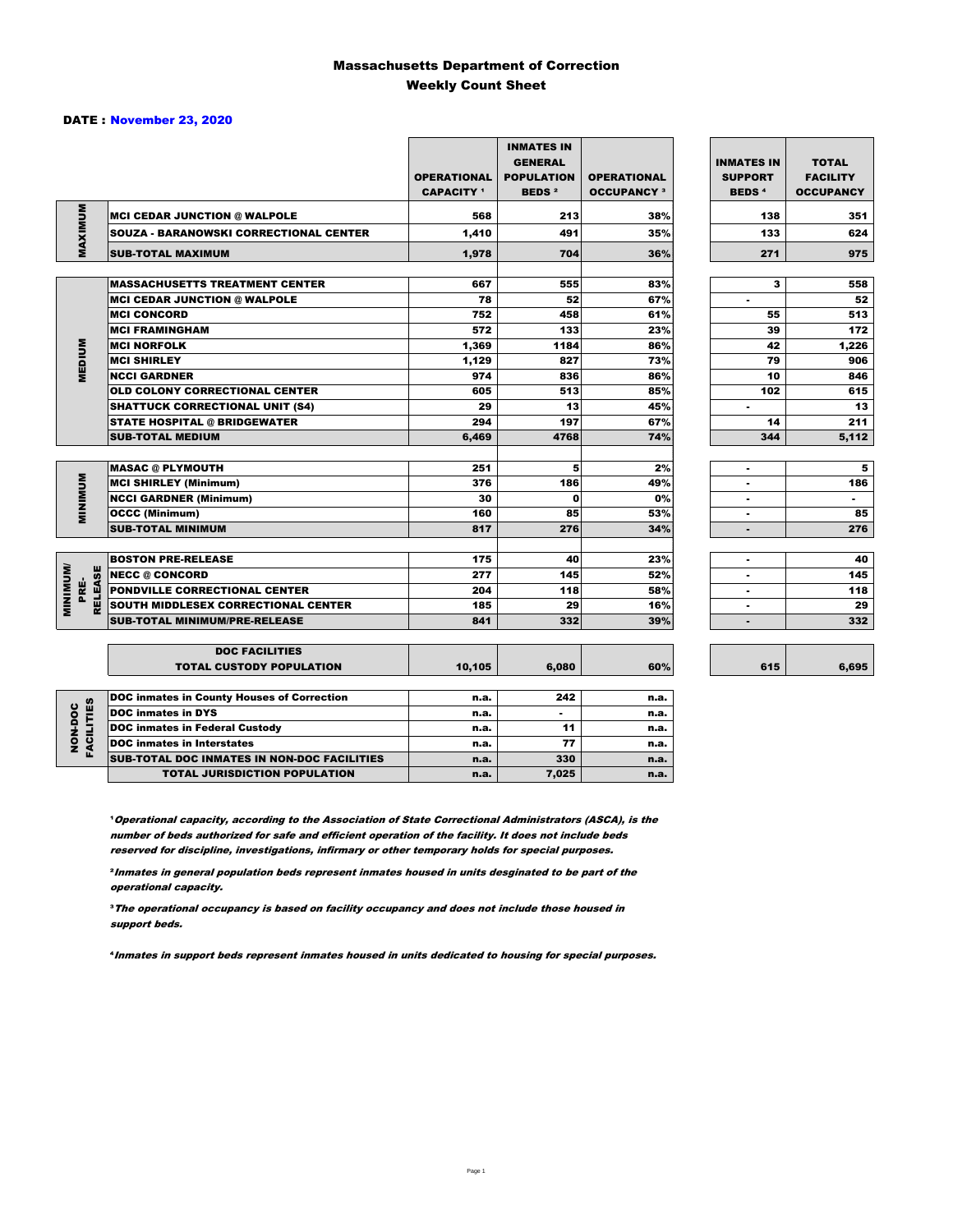#### Massachusetts Department of Correction Weekly Count Sheet

#### DATE : November 23, 2020

|                                           |                                                   | <b>OPERATIONAL</b><br><b>CAPACITY</b> 1 | <b>INMATES IN</b><br><b>GENERAL</b><br><b>POPULATION</b><br><b>BEDS<sup>2</sup></b> | <b>OPERATIONAL</b><br><b>OCCUPANCY 3</b> | <b>INMATES IN</b><br><b>SUPPORT</b><br><b>BEDS<sup>4</sup></b> | <b>TOTAL</b><br><b>FACILITY</b><br><b>OCCUPANCY</b> |
|-------------------------------------------|---------------------------------------------------|-----------------------------------------|-------------------------------------------------------------------------------------|------------------------------------------|----------------------------------------------------------------|-----------------------------------------------------|
|                                           | <b>MCI CEDAR JUNCTION @ WALPOLE</b>               | 568                                     | 213                                                                                 | 38%                                      | 138                                                            | 351                                                 |
|                                           | <b>SOUZA - BARANOWSKI CORRECTIONAL CENTER</b>     | 1,410                                   | 491                                                                                 | 35%                                      | 133                                                            | 624                                                 |
| MAXIMUM                                   | <b>SUB-TOTAL MAXIMUM</b>                          | 1,978                                   | 704                                                                                 | 36%                                      | 271                                                            | 975                                                 |
|                                           |                                                   |                                         |                                                                                     |                                          |                                                                |                                                     |
|                                           | <b>MASSACHUSETTS TREATMENT CENTER</b>             | 667                                     | 555                                                                                 | 83%                                      | з                                                              | 558                                                 |
|                                           | <b>MCI CEDAR JUNCTION @ WALPOLE</b>               | 78                                      | 52                                                                                  | 67%                                      | ٠                                                              | 52                                                  |
|                                           | <b>MCI CONCORD</b>                                | 752                                     | 458                                                                                 | 61%                                      | 55                                                             | 513                                                 |
|                                           | <b>MCI FRAMINGHAM</b>                             | 572                                     | 133                                                                                 | 23%                                      | 39                                                             | 172                                                 |
|                                           | <b>MCI NORFOLK</b>                                | 1,369                                   | 1184                                                                                | 86%                                      | 42                                                             | 1,226                                               |
| <b>MEDIUM</b>                             | <b>MCI SHIRLEY</b>                                | 1,129                                   | 827                                                                                 | 73%                                      | 79                                                             | 906                                                 |
|                                           | <b>NCCI GARDNER</b>                               | 974                                     | 836                                                                                 | 86%                                      | 10                                                             | 846                                                 |
|                                           | OLD COLONY CORRECTIONAL CENTER                    | 605                                     | 513                                                                                 | 85%                                      | 102                                                            | 615                                                 |
|                                           | <b>SHATTUCK CORRECTIONAL UNIT (S4)</b>            | 29                                      | 13                                                                                  | 45%                                      | $\blacksquare$                                                 | 13                                                  |
|                                           | <b>STATE HOSPITAL @ BRIDGEWATER</b>               | 294                                     | 197                                                                                 | 67%                                      | 14                                                             | 211                                                 |
|                                           | <b>SUB-TOTAL MEDIUM</b>                           | 6.469                                   | 4768                                                                                | 74%                                      | 344                                                            | 5,112                                               |
|                                           |                                                   |                                         |                                                                                     |                                          |                                                                |                                                     |
|                                           | <b>MASAC @ PLYMOUTH</b>                           | 251                                     | 5                                                                                   | 2%                                       | ٠                                                              | 5                                                   |
| <b>MINIMUM</b>                            | <b>MCI SHIRLEY (Minimum)</b>                      | 376                                     | 186                                                                                 | 49%                                      | ٠                                                              | 186                                                 |
|                                           | <b>NCCI GARDNER (Minimum)</b>                     | 30                                      | $\mathbf{0}$                                                                        | 0%                                       |                                                                | $\blacksquare$                                      |
|                                           | <b>OCCC (Minimum)</b>                             | 160                                     | 85                                                                                  | 53%                                      | $\blacksquare$                                                 | 85                                                  |
|                                           | <b>SUB-TOTAL MINIMUM</b>                          | 817                                     | 276                                                                                 | 34%                                      |                                                                | 276                                                 |
|                                           |                                                   |                                         |                                                                                     |                                          |                                                                |                                                     |
|                                           | <b>BOSTON PRE-RELEASE</b>                         | 175                                     | 40                                                                                  | 23%                                      | ٠                                                              | 40                                                  |
|                                           | <b>NECC @ CONCORD</b>                             | 277                                     | 145                                                                                 | 52%                                      | ٠                                                              | 145                                                 |
| <b>MINIMINU</b><br><b>RELEASE</b><br>PRE- | <b>PONDVILLE CORRECTIONAL CENTER</b>              | 204                                     | 118                                                                                 | 58%                                      | $\blacksquare$                                                 | 118                                                 |
|                                           | SOUTH MIDDLESEX CORRECTIONAL CENTER               | 185                                     | 29                                                                                  | 16%                                      | $\blacksquare$                                                 | 29                                                  |
|                                           | <b>SUB-TOTAL MINIMUM/PRE-RELEASE</b>              | 841                                     | 332                                                                                 | 39%                                      | ٠                                                              | 332                                                 |
|                                           |                                                   |                                         |                                                                                     |                                          |                                                                |                                                     |
|                                           | <b>DOC FACILITIES</b>                             |                                         |                                                                                     |                                          |                                                                |                                                     |
|                                           | <b>TOTAL CUSTODY POPULATION</b>                   | 10,105                                  | 6,080                                                                               | 60%                                      | 615                                                            | 6,695                                               |
|                                           | <b>DOC inmates in County Houses of Correction</b> | n.a.                                    | 242                                                                                 | n.a.                                     |                                                                |                                                     |
|                                           | <b>DOC</b> inmates in DYS                         | n.a.                                    |                                                                                     | n.a.                                     |                                                                |                                                     |
|                                           | <b>DOC inmates in Federal Custody</b>             | n.a.                                    | 11                                                                                  | n.a.                                     |                                                                |                                                     |
| <b>FACILITIES</b><br>NON-DOC              | <b>DOC</b> inmates in Interstates                 | n.a.                                    | 77                                                                                  | n.a.                                     |                                                                |                                                     |
|                                           | SUB-TOTAL DOC INMATES IN NON-DOC FACILITIES       | n.a.                                    | 330                                                                                 | n.a.                                     |                                                                |                                                     |

**Operational capacity, according to the Association of State Correctional Administrators (ASCA), is the** number of beds authorized for safe and efficient operation of the facility. It does not include beds reserved for discipline, investigations, infirmary or other temporary holds for special purposes.

TOTAL JURISDICTION POPULATION **n.a.** 7,025 n.a.

6,695

²Inmates in general population beds represent inmates housed in units desginated to be part of the operational capacity.

³The operational occupancy is based on facility occupancy and does not include those housed in support beds.

⁴Inmates in support beds represent inmates housed in units dedicated to housing for special purposes.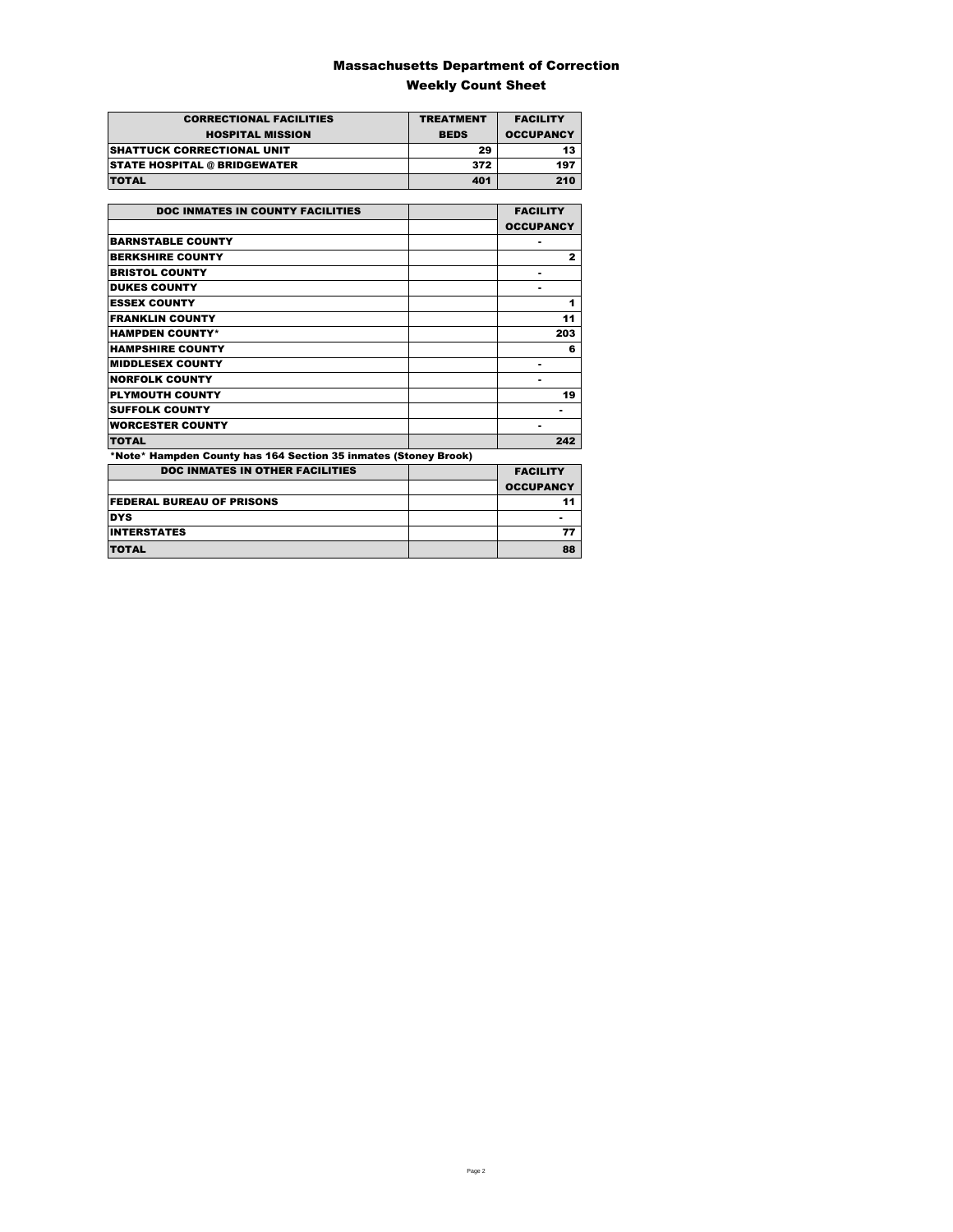### Massachusetts Department of Correction Weekly Count Sheet

| <b>CORRECTIONAL FACILITIES</b>      | <b>TREATMENT</b> | <b>FACILITY</b>  |
|-------------------------------------|------------------|------------------|
| <b>HOSPITAL MISSION</b>             | <b>BEDS</b>      | <b>OCCUPANCY</b> |
| <b>ISHATTUCK CORRECTIONAL UNIT</b>  | 29               | 13               |
| <b>STATE HOSPITAL @ BRIDGEWATER</b> | 372              | 197              |
| <b>TOTAL</b>                        | 401              | 210              |

| <b>DOC INMATES IN COUNTY FACILITIES</b>                         | <b>FACILITY</b>  |
|-----------------------------------------------------------------|------------------|
|                                                                 | <b>OCCUPANCY</b> |
| <b>BARNSTABLE COUNTY</b>                                        |                  |
| <b>BERKSHIRE COUNTY</b>                                         | $\mathbf{z}$     |
| <b>BRISTOL COUNTY</b>                                           | ٠                |
| <b>DUKES COUNTY</b>                                             | ۰                |
| <b>ESSEX COUNTY</b>                                             | 1                |
| <b>FRANKLIN COUNTY</b>                                          | 11               |
| <b>HAMPDEN COUNTY*</b>                                          | 203              |
| <b>HAMPSHIRE COUNTY</b>                                         | 6                |
| <b>MIDDLESEX COUNTY</b>                                         | ٠                |
| <b>NORFOLK COUNTY</b>                                           | -                |
| <b>PLYMOUTH COUNTY</b>                                          | 19               |
| <b>SUFFOLK COUNTY</b>                                           |                  |
| <b>WORCESTER COUNTY</b>                                         | ۰                |
| <b>TOTAL</b>                                                    | 242              |
| *Note* Hampden County has 164 Section 35 inmates (Stoney Brook) |                  |
| <b>DOC INMATES IN OTHER FACILITIES</b>                          | <b>FACILITY</b>  |
|                                                                 | <b>OCCUPANCY</b> |
| <b>FEDERAL BUREAU OF PRISONS</b>                                | 11               |
| <b>DYS</b>                                                      |                  |
| <b>INTERSTATES</b>                                              | 77               |

TOTAL 88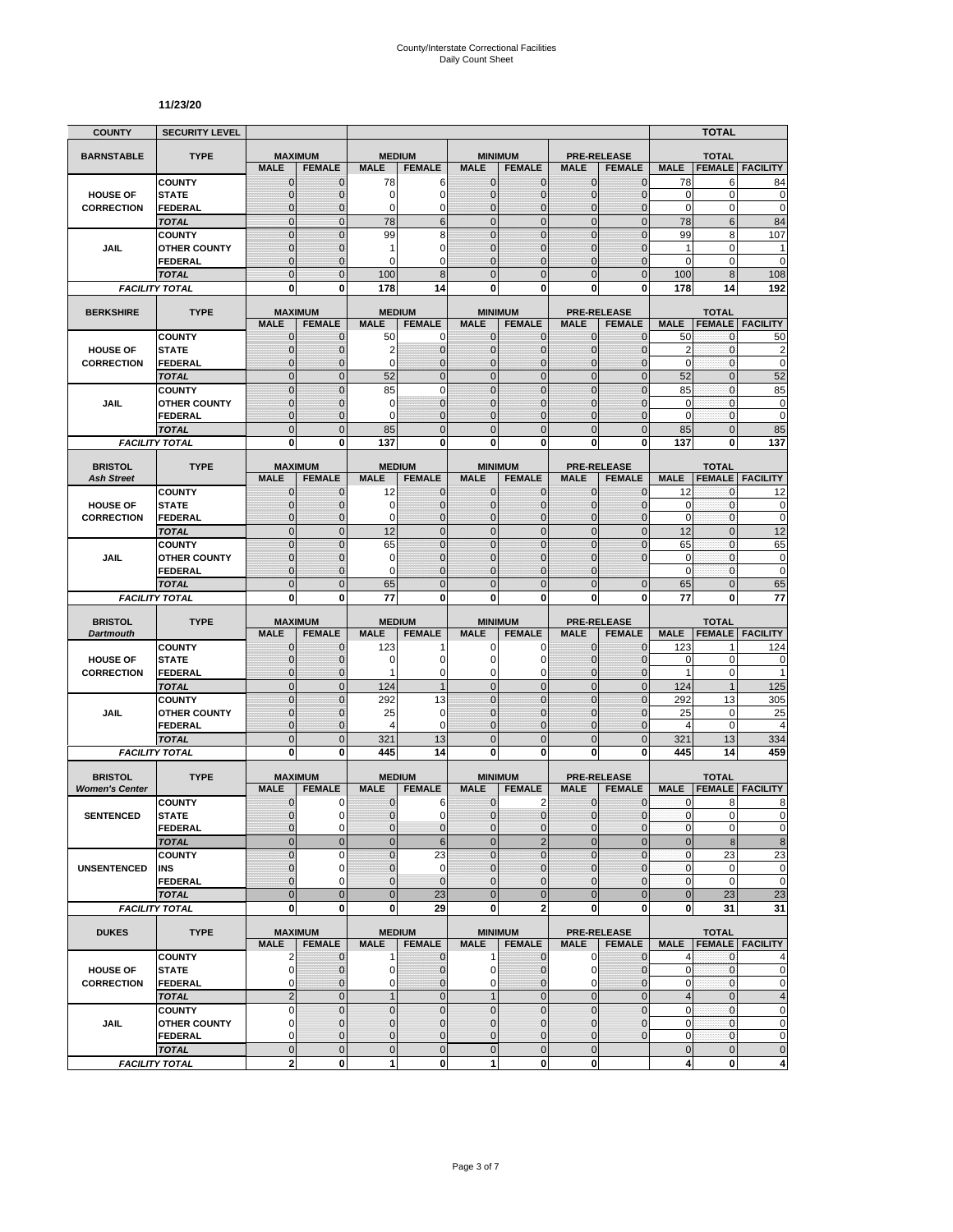#### **11/23/20**

| <b>COUNTY</b>         | <b>SECURITY LEVEL</b>                 |                               |                               |                          |                                  |                              |                                  |                              |                                     |                           | <b>TOTAL</b>        |                             |
|-----------------------|---------------------------------------|-------------------------------|-------------------------------|--------------------------|----------------------------------|------------------------------|----------------------------------|------------------------------|-------------------------------------|---------------------------|---------------------|-----------------------------|
| <b>BARNSTABLE</b>     | <b>TYPE</b>                           | <b>MAXIMUM</b>                |                               | <b>MEDIUM</b>            |                                  |                              | <b>MINIMUM</b>                   |                              | <b>PRE-RELEASE</b>                  |                           | <b>TOTAL</b>        |                             |
|                       |                                       | <b>MALE</b>                   | <b>FEMALE</b>                 | <b>MALE</b>              | <b>FEMALE</b>                    | <b>MALE</b>                  | <b>FEMALE</b>                    | <b>MALE</b>                  | <b>FEMALE</b>                       | <b>MALE</b>               | <b>FEMALE</b>       | <b>FACILITY</b>             |
|                       | <b>COUNTY</b>                         | $\mathbf 0$                   | $\mathbf{0}$                  | 78                       | 6                                | $\mathbf{0}$                 | 0                                | $\mathbf{0}$                 | $\mathbf 0$                         | 78                        | 6                   | 84                          |
| <b>HOUSE OF</b>       | <b>STATE</b>                          | 0                             | $\mathbf{0}$                  | 0                        | 0                                | $\mathbf{0}$                 | 0                                | $\mathbf{0}$                 | $\mathbf 0$                         | 0                         | 0                   | $\mathbf 0$                 |
| <b>CORRECTION</b>     | <b>FEDERAL</b><br><b>TOTAL</b>        | $\mathbf 0$<br>$\mathbf 0$    | $\Omega$<br>$\mathbf{0}$      | 0<br>78                  | 0<br>6                           | $\mathbf{0}$<br>$\mathbf{0}$ | $\overline{0}$<br>$\mathbf 0$    | $\Omega$<br>$\mathbf{0}$     | $\overline{0}$<br>$\overline{0}$    | $\mathbf 0$<br>78         | 0<br>$6\phantom{1}$ | $\mathbf 0$<br>84           |
|                       | <b>COUNTY</b>                         | $\mathbf 0$                   | $\mathbf{0}$                  | 99                       | 8                                | $\mathbf{0}$                 | $\mathbf 0$                      | $\mathbf 0$                  | $\overline{0}$                      | 99                        | 8                   | 107                         |
| JAIL                  | <b>OTHER COUNTY</b>                   | $\overline{0}$                | $\Omega$                      | 1                        | $\overline{0}$                   | $\Omega$                     | $\overline{0}$                   | $\Omega$                     | $\overline{0}$                      | 1                         | 0                   | 1                           |
|                       | <b>FEDERAL</b>                        | 0                             | $\mathbf{0}$                  | 0                        | 0                                | $\mathbf{0}$                 | 0                                | $\mathbf 0$                  | $\mathbf 0$                         | 0                         | 0                   | $\mathbf 0$                 |
|                       | <b>TOTAL</b>                          | $\overline{0}$                | $\overline{0}$                | 100                      | 8                                | $\mathbf 0$                  | $\overline{0}$                   | $\Omega$                     | $\mathbf 0$                         | 100                       | 8                   | 108                         |
|                       | <b>FACILITY TOTAL</b>                 | $\mathbf 0$                   | $\mathbf{0}$                  | 178                      | 14                               | $\mathbf{0}$                 | $\bf{0}$                         | 0                            | $\mathbf{0}$                        | 178                       | 14                  | 192                         |
| <b>BERKSHIRE</b>      | <b>TYPE</b>                           | <b>MAXIMUM</b>                |                               |                          | <b>MEDIUM</b>                    |                              | <b>MINIMUM</b>                   |                              | <b>PRE-RELEASE</b>                  |                           | <b>TOTAL</b>        |                             |
|                       |                                       | <b>MALE</b>                   | <b>FEMALE</b>                 | <b>MALE</b>              | <b>FEMALE</b>                    | <b>MALE</b>                  | <b>FEMALE</b>                    | <b>MALE</b>                  | <b>FEMALE</b>                       | <b>MALE</b>               | <b>FEMALE</b>       | <b>FACILITY</b>             |
|                       | <b>COUNTY</b>                         | 0                             | 0                             | 50                       | $\mathbf 0$                      | $\mathbf{0}$                 | $\mathbf{0}$                     | $\mathbf{0}$                 | $\mathbf{0}$                        | 50                        | 0                   | 50                          |
| <b>HOUSE OF</b>       | <b>STATE</b>                          | $\mathbf 0$                   | $\mathbf{0}$                  | $\overline{2}$           | $\mathbf 0$                      | $\mathbf{0}$                 | $\mathbf 0$                      | $\mathbf{0}$                 | $\overline{0}$                      | $\overline{2}$            | $\mathbf{0}$        | $\overline{\mathbf{c}}$     |
| <b>CORRECTION</b>     | <b>FEDERAL</b>                        | $\mathbf{0}$                  | $\mathbf{0}$                  | 0                        | $\mathbf{0}$                     | $\mathbf{0}$                 | $\mathbf{0}$                     | $\mathbf{0}$                 | $\overline{0}$                      | $\mathbf 0$               | $\mathbf{0}$        | $\mathbf 0$                 |
|                       | <b>TOTAL</b>                          | $\overline{0}$                | $\mathbf{0}$                  | 52                       | $\overline{0}$                   | $\Omega$                     | $\overline{0}$                   | $\overline{0}$               | $\overline{0}$                      | 52                        | $\overline{0}$      | 52                          |
|                       | <b>COUNTY</b>                         | $\overline{0}$                | $\Omega$                      | 85                       | $\overline{0}$<br>$\overline{0}$ | $\mathbf 0$                  | $\overline{0}$                   | $\overline{0}$               | $\overline{0}$                      | 85                        | $\mathbf 0$         | 85                          |
| <b>JAIL</b>           | <b>OTHER COUNTY</b><br><b>FEDERAL</b> | $\mathbf 0$<br>$\overline{0}$ | $\mathbf{0}$<br>$\mathbf{0}$  | 0<br>0                   | $\overline{0}$                   | $\mathbf{0}$<br>$\mathbf{0}$ | $\mathbf 0$<br>$\overline{0}$    | $\mathbf 0$<br>$\mathbf 0$   | $\overline{0}$<br>$\overline{0}$    | 0<br>$\mathbf 0$          | 0<br>$\mathbf{0}$   | 0<br>$\mathbf 0$            |
|                       | <b>TOTAL</b>                          | $\mathbf 0$                   | $\mathbf{0}$                  | 85                       | $\mathbf 0$                      | $\overline{0}$               | $\mathbf 0$                      | $\mathbf{0}$                 | $\mathbf 0$                         | 85                        | $\mathbf 0$         | 85                          |
|                       | <b>FACILITY TOTAL</b>                 | $\mathbf{0}$                  | $\bf{0}$                      | 137                      | $\mathbf{0}$                     | 0                            | $\bf{0}$                         | $\mathbf{0}$                 | $\mathbf{0}$                        | 137                       | 0                   | 137                         |
|                       |                                       |                               |                               |                          |                                  |                              |                                  |                              |                                     |                           |                     |                             |
| <b>BRISTOL</b>        | <b>TYPE</b>                           | <b>MAXIMUM</b>                |                               |                          | <b>MEDIUM</b>                    |                              | <b>MINIMUM</b>                   |                              | <b>PRE-RELEASE</b>                  |                           | <b>TOTAL</b>        |                             |
| <b>Ash Street</b>     |                                       | <b>MALE</b><br>$\mathbf 0$    | <b>FEMALE</b>                 | <b>MALE</b>              | <b>FEMALE</b><br>$\mathbf 0$     | <b>MALE</b><br>$\mathbf{0}$  | <b>FEMALE</b><br>$\mathbf{0}$    | <b>MALE</b><br>$\mathbf{0}$  | <b>FEMALE</b><br>$\overline{0}$     | <b>MALE</b><br>12         | <b>FEMALE</b><br>0  | <b>FACILITY</b><br>12       |
| <b>HOUSE OF</b>       | <b>COUNTY</b><br><b>STATE</b>         | 0                             | $\mathbf 0$<br>$\mathbf{0}$   | 12<br>0                  | $\mathbf 0$                      | $\Omega$                     | 0                                | $\mathbf{0}$                 | $\mathbf{0}$                        | $\mathbf 0$               | 0                   | $\bf{0}$                    |
| <b>CORRECTION</b>     | <b>FEDERAL</b>                        | $\overline{0}$                | $\mathbf{0}$                  | 0                        | $\mathbf 0$                      | $\mathbf{0}$                 | $\mathbf 0$                      | $\mathbf{0}$                 | $\mathbf 0$                         | $\mathbf 0$               | $\mathbf{0}$        | $\mathbf 0$                 |
|                       | <b>TOTAL</b>                          | $\mathbf 0$                   | $\mathbf{0}$                  | 12                       | $\mathbf 0$                      | $\mathbf{0}$                 | $\mathbf 0$                      | $\mathbf{0}$                 | $\mathbf 0$                         | 12                        | $\overline{0}$      | 12                          |
|                       | <b>COUNTY</b>                         | $\overline{0}$                | $\Omega$                      | 65                       | $\Omega$                         | $\Omega$                     | $\overline{0}$                   | $\Omega$                     | $\overline{0}$                      | 65                        | $\mathbf{0}$        | 65                          |
| JAIL                  | <b>OTHER COUNTY</b>                   | $\overline{0}$                | $\mathbf 0$                   | 0                        | $\overline{0}$                   | $\mathbf{0}$                 | $\overline{0}$                   | 0                            | $\overline{0}$                      | $\mathbf 0$               | $\mathbf 0$         | $\mathbf 0$                 |
|                       | FEDERAL                               | $\mathbf 0$                   | $\mathbf{0}$                  | 0                        | $\overline{0}$                   | $\mathbf{0}$                 | 0                                | $\Omega$                     |                                     | 0                         | 0                   | $\mathbf 0$                 |
|                       | <b>TOTAL</b>                          | $\overline{0}$                | $\overline{0}$                | 65                       | $\overline{0}$                   | $\overline{0}$               | $\overline{0}$                   | $\Omega$                     | $\overline{0}$                      | 65                        | $\overline{0}$      | 65                          |
|                       | <b>FACILITY TOTAL</b>                 | 0                             | 0                             | 77                       | 0                                | 0                            | 0                                | 0                            | 0                                   | 77                        | 0                   | 77                          |
| <b>BRISTOL</b>        | <b>TYPE</b>                           | <b>MAXIMUM</b>                |                               |                          | <b>MEDIUM</b>                    |                              | <b>MINIMUM</b>                   |                              | <b>PRE-RELEASE</b>                  |                           | <b>TOTAL</b>        |                             |
| <b>Dartmouth</b>      |                                       | <b>MALE</b>                   | <b>FEMALE</b>                 | <b>MALE</b>              | <b>FEMALE</b>                    | <b>MALE</b>                  | <b>FEMALE</b>                    | <b>MALE</b>                  | <b>FEMALE</b>                       | <b>MALE</b>               | <b>FEMALE</b>       | <b>FACILITY</b>             |
|                       | <b>COUNTY</b>                         | 0                             | $\mathbf{0}$                  | 123                      | 1                                | 0                            | 0                                | $\mathbf{0}$                 | $\overline{0}$                      | 123                       | 1                   | 124                         |
| <b>HOUSE OF</b>       | <b>STATE</b>                          | 0<br>$\overline{0}$           | $\mathbf{0}$<br>$\mathbf{0}$  | 0<br>1                   | 0<br>0                           | $\mathbf 0$<br>$\mathbf 0$   | 0<br>0                           | $\mathbf 0$<br>$\mathbf 0$   | $\mathbf 0$<br>$\mathbf{0}$         | 0<br>1                    | 0<br>0              | $\mathbf 0$<br>1            |
| <b>CORRECTION</b>     | <b>FEDERAL</b><br><b>TOTAL</b>        | $\overline{0}$                | $\mathbf{0}$                  | 124                      | 1                                | $\overline{0}$               | $\overline{0}$                   | $\mathbf{0}$                 | $\overline{0}$                      | 124                       | $\mathbf{1}$        | 125                         |
|                       | <b>COUNTY</b>                         | $\mathbf 0$                   | $\mathbf{0}$                  | 292                      | 13                               | $\mathbf{0}$                 | $\mathbf 0$                      | $\mathbf{0}$                 | $\mathbf 0$                         | 292                       | 13                  | 305                         |
| <b>JAIL</b>           | <b>OTHER COUNTY</b>                   | $\overline{0}$                | $\Omega$                      | 25                       | $\mathbf 0$                      | $\Omega$                     | $\overline{0}$                   | $\Omega$                     | $\Omega$                            | 25                        | 0                   | 25                          |
|                       | <b>FEDERAL</b>                        | $\mathbf 0$                   | $\mathbf{0}$                  | 4                        | 0                                | $\mathbf{0}$                 | $\mathbf 0$                      | $\mathbf 0$                  | $\overline{0}$                      | 4                         | $\mathbf 0$         | $\overline{4}$              |
|                       | <b>TOTAL</b>                          | $\mathbf 0$                   | $\overline{0}$                | 321                      | 13                               | $\mathbf{0}$                 | $\mathbf 0$                      | $\overline{0}$               | $\overline{0}$                      | 321                       | 13                  | 334                         |
|                       | <b>FACILITY TOTAL</b>                 | 0                             | $\mathbf{0}$                  | 445                      | 14                               | $\mathbf{0}$                 | 0                                | 0                            | 0                                   | 445                       | 14                  | 459                         |
| <b>BRISTOL</b>        | <b>TYPE</b>                           | <b>MAXIMUM</b>                |                               |                          | <b>MEDIUM</b>                    |                              | <b>MINIMUM</b>                   |                              | <b>PRE-RELEASE</b>                  |                           | <b>TOTAL</b>        |                             |
| <b>Women's Center</b> |                                       | <b>MALE</b>                   | <b>FEMALE</b>                 | <b>MALE</b>              | <b>FEMALE</b>                    | <b>MALE</b>                  | <b>FEMALE</b>                    | <b>MALE</b>                  | <b>FEMALE</b>                       | <b>MALE</b>               | <b>FEMALE</b>       | <b>FACILITY</b>             |
|                       | <b>COUNTY</b>                         | 0                             | 0                             | $\mathbf 0$              | 6                                | $\mathbf 0$                  | $\overline{2}$                   | $\mathbf{0}$                 | $\mathbf{0}$                        | $\mathbf{0}$              | 8                   | 8                           |
| <b>SENTENCED</b>      | <b>STATE</b>                          | $\Omega$                      | $\Omega$                      | $\Omega$                 | $\Omega$                         | $\Omega$                     | $\Omega$                         | $\Omega$                     | $\Omega$                            | $\mathbf{0}$              | $\mathbf{0}$        | $\Omega$                    |
|                       | <b>FEDERAL</b>                        | $\mathbf 0$                   | $\mathbf 0$                   | 0                        | $\mathbf 0$                      | $\mathbf 0$                  | $\mathbf{0}$                     | $\mathbf 0$                  | $\mathbf 0$                         | $\pmb{0}$                 | 0                   | $\pmb{0}$                   |
|                       | <b>TOTAL</b>                          | $\mathbf 0$                   | $\mathbf{0}$                  | $\mathbf 0$              | $6\phantom{1}6$                  | $\mathbf 0$                  | $\overline{2}$                   | $\mathbf{0}$                 | $\overline{0}$                      | $\mathbf 0$               | 8                   | $\bf8$                      |
|                       | <b>COUNTY</b>                         | $\mathbf 0$                   | $\mathbf 0$                   | 0                        | 23                               | $\mathbf{0}$                 | $\mathbf 0$                      | $\mathbf 0$                  | $\mathbf 0$                         | $\pmb{0}$                 | 23                  | 23                          |
| <b>UNSENTENCED</b>    | INS<br><b>FEDERAL</b>                 | 0<br>$\mathbf 0$              | $\mathbf 0$<br>$\mathbf 0$    | $\mathbf 0$<br>$\pmb{0}$ | $\mathbf 0$<br>$\overline{0}$    | $\mathbf{0}$<br>$\mathbf{0}$ | $\overline{0}$<br>$\overline{0}$ | $\mathbf{0}$<br>$\mathbf{0}$ | $\mathbf{0}$<br>$\mathbf 0$         | $\mathbf{0}$<br>$\pmb{0}$ | 0<br>0              | $\pmb{0}$<br>$\mathbf 0$    |
|                       | <b>TOTAL</b>                          | $\overline{0}$                | $\mathbf{0}$                  | $\mathbf 0$              | 23                               | $\overline{0}$               | $\mathbf{0}$                     | $\mathbf{0}$                 | $\mathbf 0$                         | $\bf 0$                   | 23                  | 23                          |
|                       | <b>FACILITY TOTAL</b>                 | $\mathbf 0$                   | $\bf{0}$                      | 0                        | 29                               | 0                            | $\overline{a}$                   | $\mathbf{0}$                 | 0                                   | 0                         | 31                  | 31                          |
|                       |                                       |                               |                               |                          |                                  |                              |                                  |                              |                                     |                           |                     |                             |
| <b>DUKES</b>          | <b>TYPE</b>                           | <b>MAXIMUM</b><br><b>MALE</b> |                               | <b>MALE</b>              | <b>MEDIUM</b>                    | <b>MALE</b>                  | <b>MINIMUM</b><br><b>FEMALE</b>  | <b>MALE</b>                  | <b>PRE-RELEASE</b><br><b>FEMALE</b> |                           | <b>TOTAL</b>        |                             |
|                       | <b>COUNTY</b>                         | 2                             | <b>FEMALE</b><br>$\mathbf{0}$ | $\mathbf{1}$             | <b>FEMALE</b><br>$\mathbf 0$     | $\mathbf{1}$                 | $\mathbf{0}$                     | $\mathbf 0$                  | $\mathbf 0$                         | <b>MALE</b><br>4          | 0                   | <b>FEMALE FACILITY</b><br>4 |
| <b>HOUSE OF</b>       | <b>STATE</b>                          | $\mathbf 0$                   | $\mathbf 0$                   | 0                        | $\mathbf 0$                      | $\mathbf{0}$                 | 0                                | 0                            | $\mathbf 0$                         | 0                         | $\bf{0}$            | $\mathbf 0$                 |
| <b>CORRECTION</b>     | <b>FEDERAL</b>                        | 0                             | $\mathbf 0$                   | 0                        | 0                                | $\mathbf{0}$                 | 0                                | $\Omega$                     | $\overline{0}$                      | 0                         | 0                   | $\mathbf 0$                 |
|                       | <b>TOTAL</b>                          | $\mathbf 2$                   | $\mathbf{0}$                  | $\mathbf{1}$             | $\mathbf 0$                      | 1                            | $\mathbf 0$                      | $\mathbf{0}$                 | $\overline{0}$                      | $\overline{4}$            | $\mathbf 0$         | $\sqrt{4}$                  |
|                       | <b>COUNTY</b>                         | $\pmb{0}$                     | $\mathbf 0$                   | $\mathbf 0$              | $\mathbf 0$                      | $\mathbf 0$                  | $\mathbf 0$                      | $\mathbf 0$                  | $\mathbf 0$                         | $\pmb{0}$                 | $\mathbf 0$         | $\mathbf 0$                 |
| JAIL                  | <b>OTHER COUNTY</b>                   | 0                             | $\mathbf{0}$                  | $\mathbf{0}$             | $\overline{0}$                   | $\mathbf{0}$                 | $\mathbf{0}$                     | $\mathbf{0}$                 | $\mathbf{0}$                        | $\mathbf 0$               | $\mathbf 0$         | $\pmb{0}$                   |
|                       | <b>FEDERAL</b>                        | 0                             | $\mathbf{0}$                  | $\pmb{0}$                | $\mathbf 0$                      | $\mathbf{0}$                 | 0                                | $\mathbf{0}$                 | $\mathbf 0$                         | $\pmb{0}$                 | $\mathbf 0$         | $\mathbf 0$                 |
|                       | <b>TOTAL</b>                          | $\mathbf 0$                   | $\mathbf{0}$                  | $\pmb{0}$                | $\mathbf 0$                      | $\mathbf 0$                  | $\mathbf 0$                      | $\mathbf{0}$                 |                                     | $\mathbf 0$               | $\mathbf 0$         | $\pmb{0}$                   |
|                       | <b>FACILITY TOTAL</b>                 | $\overline{\mathbf{2}}$       | $\mathbf{0}$                  | 1                        | 0                                | $\mathbf{1}$                 | 0                                | $\mathbf{0}$                 |                                     | 4                         | $\pmb{0}$           | 4                           |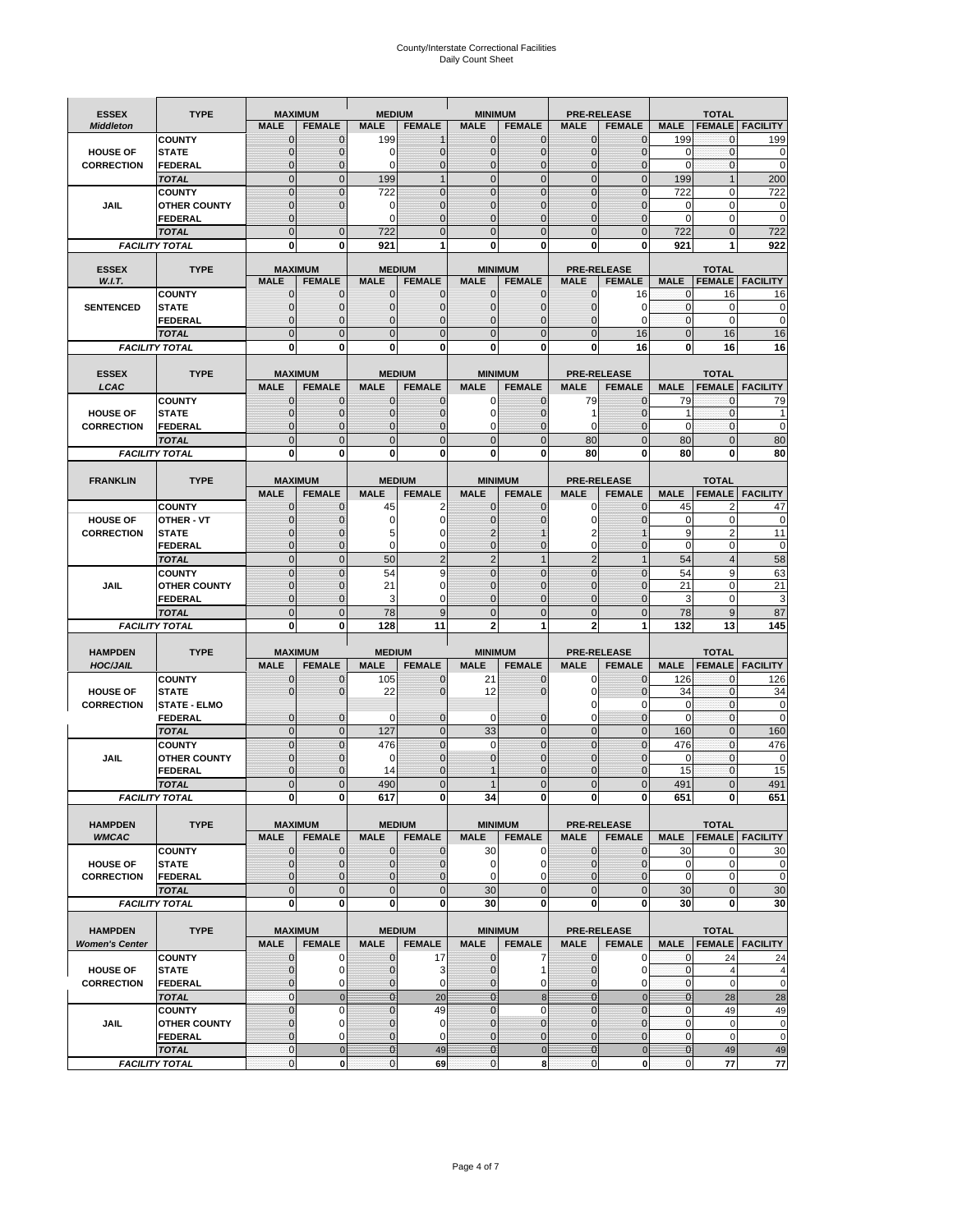# County/Interstate Correctional Facilities Daily Count Sheet

| <b>ESSEX</b><br><b>Middleton</b>     | <b>TYPE</b>                           | <b>MALE</b>         | <b>MAXIMUM</b><br><b>FEMALE</b> | <b>MEDIUM</b><br><b>MALE</b> | <b>FEMALE</b>        | <b>MINIMUM</b><br><b>MALE</b> | <b>FEMALE</b>                 | <b>MALE</b>                | <b>PRE-RELEASE</b><br><b>FEMALE</b> | <b>MALE</b>      | <b>TOTAL</b>                 | <b>FEMALE   FACILITY</b> |
|--------------------------------------|---------------------------------------|---------------------|---------------------------------|------------------------------|----------------------|-------------------------------|-------------------------------|----------------------------|-------------------------------------|------------------|------------------------------|--------------------------|
|                                      | <b>COUNTY</b>                         | $\mathbf 0$         | $\Omega$                        | 199                          | $\mathbf{1}$         | $\mathbf{0}$                  | $\Omega$                      | $\mathbf{0}$               | $\overline{0}$                      | 199              | $\mathbf{0}$                 | 199                      |
| <b>HOUSE OF</b>                      | <b>STATE</b>                          | $\mathbf 0$         | $\mathbf{0}$                    | $\mathbf 0$                  | $\mathbf{0}$         | $\mathbf{0}$                  | $\mathbf{0}$                  | $\mathbf{0}$               | $\overline{0}$                      | $\mathbf 0$      | $\mathbf{O}$                 | $\mathbf 0$              |
| <b>CORRECTION</b>                    | <b>FEDERAL</b>                        | $\Omega$            | $\Omega$                        | $\Omega$                     | $\Omega$             | $\overline{0}$                | $\Omega$                      | $\Omega$                   | $\Omega$                            | $\Omega$         | $\Omega$                     | $\mathbf 0$              |
|                                      | <b>TOTAL</b>                          | $\Omega$            | $\Omega$                        | 199                          | $\mathbf{1}$         | $\overline{0}$                | $\mathbf{0}$                  | $\mathbf 0$                | $\Omega$                            | 199              |                              | 200                      |
|                                      | <b>COUNTY</b>                         | $\overline{0}$      | $\mathbf 0$                     | 722                          | $\mathbf 0$          | $\overline{0}$                | $\overline{0}$                | $\mathbf 0$                | $\overline{0}$                      | 722              | $\mathbf 0$                  | 722                      |
| <b>JAIL</b>                          | <b>OTHER COUNTY</b>                   | $\Omega$            | $\Omega$                        | 0                            | $\Omega$             | $\mathbf{0}$                  | $\Omega$                      | $\Omega$                   | $\Omega$                            | 0                | 0                            | 0                        |
|                                      | <b>FEDERAL</b>                        | $\mathbf 0$         |                                 | 0                            | $\mathbf 0$          | $\mathbf{0}$                  | $\mathbf{0}$                  | $\mathbf{0}$               | $\overline{0}$                      | $\mathbf 0$      | 0                            | $\mathbf 0$              |
|                                      | <b>TOTAL</b>                          | $\overline{0}$      | $\mathbf{0}$                    | 722                          | $\Omega$             | $\Omega$                      | $\Omega$                      | $\mathbf 0$                | $\overline{0}$                      | 722              | $\mathbf 0$                  | 722                      |
|                                      | <b>FACILITY TOTAL</b>                 | 0                   | $\bf{0}$                        | 921                          | 1                    | 0                             | $\bf{0}$                      | 0                          | 0                                   | 921              | 1                            | 922                      |
|                                      |                                       |                     |                                 |                              |                      |                               |                               |                            |                                     |                  |                              |                          |
| <b>ESSEX</b>                         | <b>TYPE</b>                           |                     | <b>MAXIMUM</b>                  |                              | <b>MEDIUM</b>        |                               | <b>MINIMUM</b>                |                            | <b>PRE-RELEASE</b>                  |                  | <b>TOTAL</b>                 |                          |
| W.I.T.                               |                                       | <b>MALE</b>         | <b>FEMALE</b>                   | <b>MALE</b>                  | <b>FEMALE</b>        | <b>MALE</b>                   | <b>FEMALE</b>                 | <b>MALE</b>                | <b>FEMALE</b>                       | <b>MALE</b>      | <b>FEMALE</b>                | <b>FACILITY</b>          |
|                                      | <b>COUNTY</b>                         | $\mathbf 0$         | 0                               | $\mathbf 0$                  | $\mathbf{0}$         | 0                             | $\mathbf 0$                   | 0                          | 16                                  | 0                | 16                           | 16                       |
| <b>SENTENCED</b>                     | <b>STATE</b>                          | $\mathbf 0$         | $\mathbf{0}$                    | $\overline{0}$               | $\mathbf{0}$         | $\mathbf{0}$                  | $\mathbf{0}$                  | $\mathbf 0$                | 0                                   | $\mathbf{0}$     | 0                            | 0                        |
|                                      | <b>FEDERAL</b>                        | $\mathbf 0$         | $\mathbf{0}$                    | $\overline{0}$               | $\mathbf 0$          | 0                             | $\mathbf{0}$                  | 0                          | $\Omega$                            | 0                | $\mathbf 0$                  | 0                        |
|                                      | <b>TOTAL</b>                          | $\overline{0}$      | $\Omega$                        | $\overline{0}$               | $\Omega$             | $\mathbf 0$                   | $\mathbf{0}$                  | $\mathbf 0$                | 16                                  | $\mathbf{0}$     | 16                           | 16                       |
|                                      | <b>FACILITY TOTAL</b>                 | 0                   | 0                               | 0                            | $\Omega$             | 0                             | $\bf{0}$                      | 0                          | 16                                  | 0                | 16                           | 16                       |
|                                      |                                       |                     |                                 |                              |                      |                               |                               |                            |                                     |                  |                              |                          |
| <b>ESSEX</b>                         | <b>TYPE</b>                           |                     | <b>MAXIMUM</b>                  |                              | <b>MEDIUM</b>        |                               | <b>MINIMUM</b>                |                            | <b>PRE-RELEASE</b>                  |                  | <b>TOTAL</b>                 |                          |
| LCAC                                 |                                       | <b>MALE</b>         | <b>FEMALE</b>                   | <b>MALE</b>                  | <b>FEMALE</b>        | <b>MALE</b>                   | <b>FEMALE</b>                 | <b>MALE</b>                | <b>FEMALE</b>                       | <b>MALE</b>      | <b>FEMALE</b>                | <b>FACILITY</b>          |
|                                      | <b>COUNTY</b>                         | $\mathbf 0$         | $\Omega$                        | $\mathbf 0$                  | $\mathbf 0$          | 0                             | $\Omega$                      | 79                         | $\overline{0}$                      | 79               | $\mathbf 0$                  | 79                       |
| <b>HOUSE OF</b>                      | <b>STATE</b>                          | $\mathbf 0$         | $\mathbf{0}$                    | $\mathbf 0$                  | $\mathbf 0$          | 0                             | $\mathbf{0}$                  | 1                          | $\overline{0}$                      | -1               | $\mathbf 0$                  | $\mathbf 1$              |
| <b>CORRECTION</b>                    | <b>FEDERAL</b>                        | $\mathsf{C}$        | $\Omega$                        | $\overline{0}$               | $\mathbf 0$          | 0                             | $\mathbf 0$                   | $\Omega$                   | $\Omega$                            | $\mathbf 0$      | $\mathbf{0}$                 | $\mathbf 0$              |
|                                      | <b>TOTAL</b>                          | $\overline{0}$      | $\mathbf{0}$                    | $\overline{0}$               | $\mathbf{0}$         | $\mathbf{0}$                  | $\mathbf 0$                   | 80                         | $\overline{0}$                      | 80               | $\mathbf{0}$                 | 80                       |
|                                      | <b>FACILITY TOTAL</b>                 | 0                   | $\bf{0}$                        | 0                            | $\bf{0}$             | $\bf{0}$                      | 0                             | 80                         | 0                                   | 80               | $\bf{0}$                     | 80                       |
|                                      |                                       |                     |                                 |                              |                      |                               |                               |                            |                                     |                  |                              |                          |
| <b>FRANKLIN</b>                      | <b>TYPE</b>                           |                     | <b>MAXIMUM</b>                  |                              | <b>MEDIUM</b>        |                               | <b>MINIMUM</b>                |                            | <b>PRE-RELEASE</b>                  |                  | <b>TOTAL</b>                 |                          |
|                                      |                                       | <b>MALE</b>         | <b>FEMALE</b>                   | <b>MALE</b>                  | <b>FEMALE</b>        | <b>MALE</b>                   | <b>FEMALE</b>                 | <b>MALE</b>                | <b>FEMALE</b>                       | <b>MALE</b>      | <b>FEMALE</b>                | <b>FACILITY</b>          |
|                                      | <b>COUNTY</b>                         | 0                   | 0                               | 45                           | $\overline{2}$       | $\mathbf{0}$                  | $\mathbf 0$                   | 0                          | $\overline{0}$                      | 45               | $\overline{2}$               | 47                       |
| <b>HOUSE OF</b>                      | OTHER - VT                            | $\Omega$            | $\Omega$                        | 0                            | $\Omega$             | $\mathbf{0}$                  | $\Omega$                      | $\Omega$                   | $\Omega$                            | $\mathbf 0$      | $\mathbf 0$                  | $\mathbf 0$              |
| <b>CORRECTION</b>                    | <b>STATE</b>                          | 0                   | $\mathbf{0}$                    | 5                            | n                    | 2                             |                               |                            |                                     | 9                | $\overline{2}$               | 11                       |
|                                      | <b>FEDERAL</b>                        | $\Omega$            | $\Omega$                        | 0                            | 0                    | $\Omega$                      | $\Omega$                      | $\Omega$                   | $\overline{0}$                      | $\mathbf 0$      | $\mathbf 0$                  | 0                        |
|                                      | <b>TOTAL</b>                          | $\overline{0}$      | $\mathbf{0}$                    | 50                           |                      | $\overline{2}$                | $\mathbf{1}$                  | $\overline{2}$             | $\overline{1}$                      | 54               | 4                            | 58                       |
|                                      | <b>COUNTY</b>                         | $\overline{0}$      | $\mathbf{0}$                    | 54                           | 9                    | $\mathbf 0$                   | $\mathbf{0}$                  | $\mathbf{0}$               | $\overline{0}$                      | 54               | 9                            | 63                       |
| <b>JAIL</b>                          | <b>OTHER COUNTY</b>                   | $\mathbf 0$         | $\Omega$                        | 21                           | U                    | 0                             | $\Omega$                      | $\Omega$                   | $\Omega$                            | 21               | $\Omega$                     | 21                       |
|                                      | <b>FEDERAL</b>                        | $\mathbf 0$         | $\mathbf{0}$                    | 3                            | 0                    | 0                             | $\mathbf 0$                   | $\Omega$                   | $\overline{0}$                      | 3                | $\mathbf 0$                  | 3                        |
|                                      | <b>TOTAL</b>                          | $\overline{0}$      | $\overline{0}$                  | 78                           | 9                    | $\overline{0}$                | $\overline{0}$                | $\overline{0}$             | $\overline{0}$                      | 78               | $9\,$                        | 87                       |
|                                      | <b>FACILITY TOTAL</b>                 | 0                   | 0                               | 128                          | 11                   | $\overline{2}$                | 1                             | $\mathbf{2}$               | 1                                   | 132              | 13                           | 145                      |
|                                      |                                       |                     |                                 |                              |                      |                               |                               |                            |                                     |                  |                              |                          |
| <b>HAMPDEN</b>                       | <b>TYPE</b>                           |                     | <b>MAXIMUM</b>                  | <b>MEDIUM</b>                |                      | <b>MINIMUM</b>                |                               |                            | <b>PRE-RELEASE</b>                  |                  | <b>TOTAL</b>                 |                          |
| <b>HOC/JAIL</b>                      |                                       | <b>MALE</b>         | <b>FEMALE</b>                   | <b>MALE</b>                  | <b>FEMALE</b>        | <b>MALE</b>                   | <b>FEMALE</b>                 | <b>MALE</b>                | <b>FEMALE</b>                       | <b>MALE</b>      | <b>FEMALE</b>                | <b>FACILITY</b>          |
|                                      | <b>COUNTY</b>                         | $\mathbf{0}$        | $\Omega$                        | 105                          | $\mathbf 0$          | 21                            | $\mathbf{0}$                  | 0                          | $\overline{0}$                      | 126              | $\mathbf{0}$                 | 126                      |
| <b>HOUSE OF</b><br><b>CORRECTION</b> | <b>STATE</b>                          | $\mathbf 0$         | $\mathbf{0}$                    | 22                           | $\mathbf{0}$         | 12                            | $\mathbf{0}$                  | 0<br>$\Omega$              | $\overline{0}$<br>$\Omega$          | 34               | $\mathbf{0}$<br>$\mathbf{0}$ | 34                       |
|                                      | <b>STATE - ELMO</b><br><b>FEDERAL</b> | $\mathbf{0}$        | $\mathbf{0}$                    | 0                            | $\mathbf 0$          | $\mathbf 0$                   | $\mathbf 0$                   | 0                          | $\overline{0}$                      | 0<br>$\mathbf 0$ | $\mathbf{0}$                 | 0<br>0                   |
|                                      |                                       | $\overline{0}$      | $\overline{0}$                  | 127                          | $\mathbf{0}$         | 33                            | $\mathbf 0$                   | $\mathbf 0$                | $\overline{0}$                      | 160              | $\mathbf{0}$                 | 160                      |
|                                      | <b>TOTAL</b>                          |                     |                                 |                              |                      |                               |                               |                            |                                     |                  |                              |                          |
| JAIL                                 | <b>COUNTY</b>                         | $\overline{0}$<br>0 | $\mathbf 0$<br>0                | 476<br>0                     | $\Omega$<br>$\Omega$ | $\mathbf 0$<br>$\mathbf 0$    | $\overline{0}$<br>$\mathbf 0$ | $\mathbf 0$<br>$\mathbf 0$ | $\overline{0}$<br>$\mathcal{C}$     | 476<br>0         | $\mathbf{0}$<br>$\mathbf{0}$ | 476                      |
|                                      | <b>OTHER COUNTY</b><br><b>FEDERAL</b> | $\mathcal{C}$       | $\Omega$                        | 14                           | $\Omega$             | 1                             | $\mathbf 0$                   | $\Omega$                   | $\overline{0}$                      | 15               | 0                            | 0<br>15                  |
|                                      | <b>TOTAL</b>                          | $\mathcal{C}$       | $\Omega$                        | 490                          |                      | 1                             | $\overline{0}$                | $\Omega$                   | $\Omega$                            | 491              | $\overline{0}$               | 491                      |
|                                      |                                       |                     |                                 |                              |                      |                               |                               |                            |                                     |                  |                              |                          |
|                                      | <b>FACILITY TOTAL</b>                 | 이                   | 0                               | 617                          | $\mathbf{0}$         | 34                            | $\mathbf{0}$                  | 이                          | 0                                   | 651              | $\mathbf{0}$                 | 651                      |
| <b>HAMPDEN</b>                       | <b>TYPE</b>                           |                     | <b>MAXIMUM</b>                  |                              | <b>MEDIUM</b>        |                               | <b>MINIMUM</b>                |                            | <b>PRE-RELEASE</b>                  |                  | <b>TOTAL</b>                 |                          |
| <b>WMCAC</b>                         |                                       | <b>MALE</b>         | <b>FEMALE</b>                   | <b>MALE</b>                  | <b>FEMALE</b>        | <b>MALE</b>                   | <b>FEMALE</b>                 | <b>MALE</b>                | <b>FEMALE</b>                       | <b>MALE</b>      | <b>FEMALE</b>                | <b>FACILITY</b>          |
|                                      | <b>COUNTY</b>                         | $\mathbf 0$         | $\mathbf{0}$                    | 0                            | $\mathbf 0$          | 30                            | 0                             | $\mathbf{0}$               | 0                                   | 30               | 0                            | 30                       |
| <b>HOUSE OF</b>                      | <b>STATE</b>                          | $\mathbf 0$         | $\mathbf{0}$                    | $\mathbf 0$                  | $\mathbf{0}$         | 0                             | 0                             | 0                          | $\mathbf 0$                         | 0                | 0                            | 0                        |
| <b>CORRECTION</b>                    | <b>FEDERAL</b>                        | $\mathbf 0$         | $\mathbf{0}$                    | $\mathbf 0$                  | $\mathbf 0$          | 0                             | 0                             | $\mathbf{0}$               | $\overline{0}$                      | $\mathbf 0$      | $\mathbf 0$                  | 0                        |
|                                      | <b>TOTAL</b>                          | $\overline{0}$      | $\mathbf{0}$                    | 0                            | $\mathbf{0}$         | 30                            | $\mathbf 0$                   | 0                          | 0                                   | 30               | $\mathbf{0}$                 | 30                       |
|                                      | <b>FACILITY TOTAL</b>                 | 0                   | $\mathbf{0}$                    | 0                            | 0                    | 30                            | 0                             | $\mathbf 0$                | 0                                   | 30               | $\mathbf 0$                  | 30                       |
|                                      |                                       |                     |                                 |                              |                      |                               |                               |                            |                                     |                  |                              |                          |
| <b>HAMPDEN</b>                       | <b>TYPE</b>                           |                     | <b>MAXIMUM</b>                  |                              | <b>MEDIUM</b>        |                               | <b>MINIMUM</b>                |                            | <b>PRE-RELEASE</b>                  |                  | <b>TOTAL</b>                 |                          |
| <b>Women's Center</b>                |                                       | <b>MALE</b>         | <b>FEMALE</b>                   | <b>MALE</b>                  | <b>FEMALE</b>        | <b>MALE</b>                   | <b>FEMALE</b>                 | <b>MALE</b>                | <b>FEMALE</b>                       | <b>MALE</b>      |                              | <b>FEMALE</b> FACILITY   |
|                                      | <b>COUNTY</b>                         | 0                   | 0                               | 0                            | 17                   | 0                             | 7                             | 0                          | 0                                   | 0                | 24                           | 24                       |
| <b>HOUSE OF</b>                      | <b>STATE</b>                          | $\mathbf 0$         | 0                               | $\mathbf 0$                  | 3                    | $\mathbf{0}$                  | 1                             | $\mathbf{0}$               | $\mathbf 0$                         | 0                | $\overline{4}$               | $\overline{4}$           |
| <b>CORRECTION</b>                    | <b>FEDERAL</b>                        | 0                   | 0                               | $\mathbf 0$                  | $\mathbf 0$          | $\mathbf{0}$                  | 0                             | 0                          | 0                                   | $\mathbf 0$      | $\mathbf{0}$                 | 0                        |
|                                      | <b>TOTAL</b>                          | $\mathbf 0$         | $\mathbf 0$                     | $\overline{0}$               | 20                   | $\mathbf{0}$                  | $\boldsymbol{8}$              | $\bf{0}$                   | $\mathbf 0$                         | $\bf{0}$         | 28                           | 28                       |
|                                      | <b>COUNTY</b>                         | $\mathbf 0$         | $\mathbf 0$                     | $\mathbf 0$                  | 49                   | $\mathbf 0$                   | $\mathbf 0$                   | $\mathbf 0$                | $\mathbf 0$                         | $\mathbf 0$      | 49                           | 49                       |
| JAIL                                 | <b>OTHER COUNTY</b>                   | $\mathbf 0$         | $\mathbf 0$                     | $\overline{0}$               | $\mathbf 0$          | $\mathbf{0}$                  | $\mathbf 0$                   | $\mathbf 0$                | $\overline{0}$                      | $\mathbf{0}$     | $\mathbf 0$                  | 0                        |
|                                      | <b>FEDERAL</b>                        | 0                   | $\mathbf 0$                     | $\mathbf 0$                  | $\mathbf 0$          | 0                             | $\mathbf{0}$                  | $\mathbf{0}$               | 0                                   | 0                | $\mathbf 0$                  | $\mathbf 0$              |
|                                      | <b>TOTAL</b>                          | $\mathbf 0$         | $\mathbf 0$                     | $\mathbf{O}$                 | 49                   | $\mathbf{0}$                  | $\pmb{0}$                     | $\mathbf{0}$               | $\pmb{0}$                           | $\pmb{0}$        | 49                           | 49                       |
|                                      | <b>FACILITY TOTAL</b>                 | 0                   | $\mathbf{0}$                    | $\mathbf 0$                  | 69                   | $\pmb{0}$                     | 8                             | 0                          | 0                                   | $\mathbf{0}$     | 77                           | 77                       |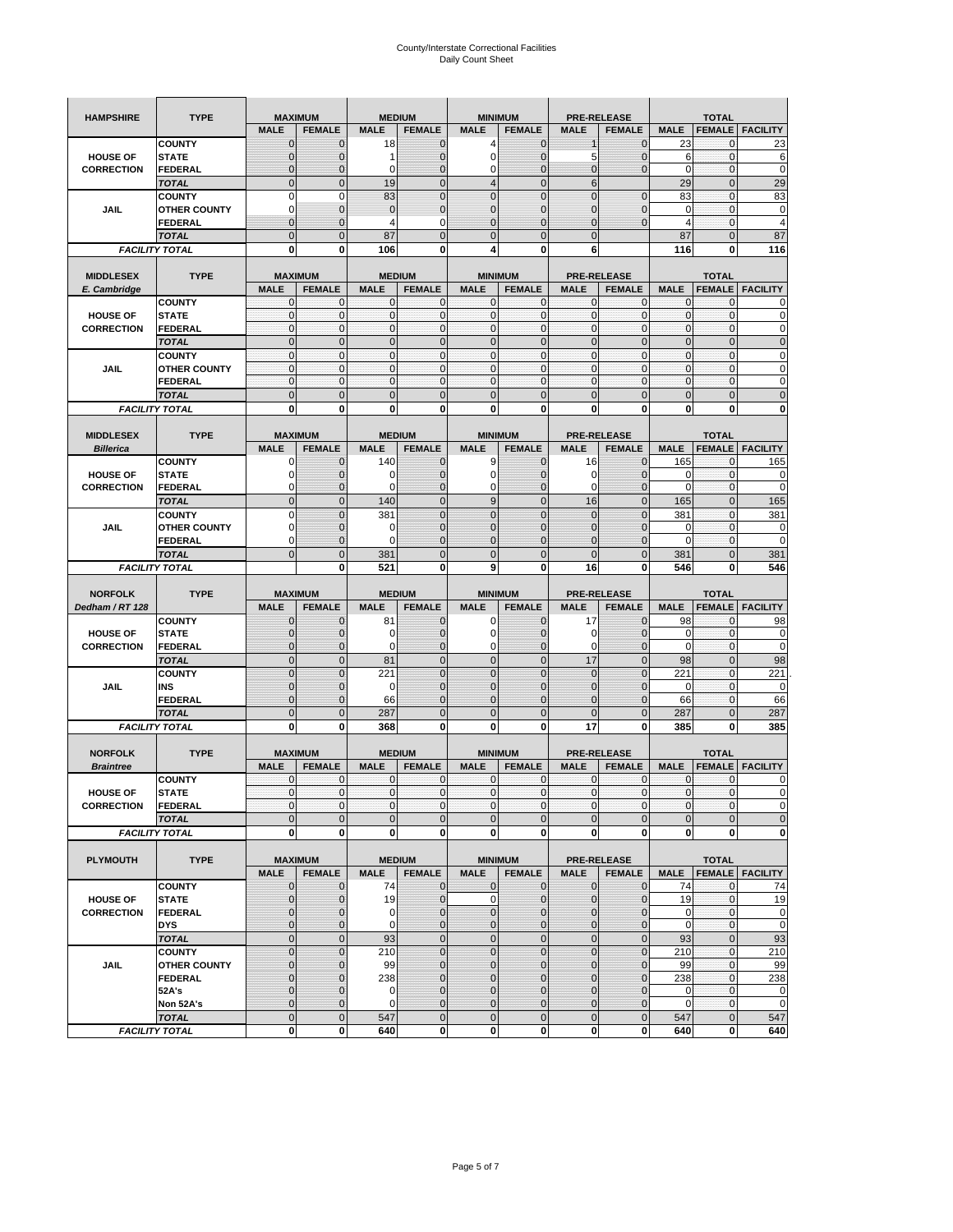| <b>HAMPSHIRE</b>                     | <b>TYPE</b>                    |                             | <b>MAXIMUM</b>              |                  | <b>MEDIUM</b>                  |                   | <b>MINIMUM</b>                  | <b>PRE-RELEASE</b>         |                               |                           | <b>TOTAL</b>               |                        |
|--------------------------------------|--------------------------------|-----------------------------|-----------------------------|------------------|--------------------------------|-------------------|---------------------------------|----------------------------|-------------------------------|---------------------------|----------------------------|------------------------|
|                                      |                                | <b>MALE</b>                 | <b>FEMALE</b>               | <b>MALE</b>      | <b>FEMALE</b>                  | <b>MALE</b>       | <b>FEMALE</b>                   | <b>MALE</b>                | <b>FEMALE</b>                 | <b>MALE</b>               | <b>FEMALE</b>              | <b>FACILITY</b>        |
|                                      | <b>COUNTY</b>                  | $\mathbf{0}$                | $\mathbf 0$                 | 18               | $\mathbf{0}$                   | 4                 | $\mathbf{0}$                    | $\mathbf 1$                | $\overline{0}$                | 23                        | 0                          | 23                     |
| <b>HOUSE OF</b>                      | <b>STATE</b>                   | $\mathbf 0$                 | 0                           | 1                | 0                              | 0                 | $\overline{0}$                  | 5                          | $\mathbf 0$                   | 6                         | $\mathbf 0$                | 6                      |
| <b>CORRECTION</b>                    | FEDERAL                        | $\mathbf 0$                 | $\overline{0}$              | 0                | $\mathbf 0$                    | $\mathbf 0$       | $\overline{0}$                  | $\mathbf{0}$               | $\overline{0}$                | $\mathbf 0$               | $\mathbf{0}$               | $\mathbf 0$            |
|                                      | <b>TOTAL</b>                   | $\mathbf{0}$                | $\mathbf 0$                 | 19               | $\mathbf 0$                    | $\overline{4}$    | $\overline{0}$                  | $6\phantom{1}$             |                               | 29                        | $\pmb{0}$                  | 29                     |
|                                      | <b>COUNTY</b>                  | $\mathbf 0$                 | $\mathbf 0$                 | 83               | $\mathbf 0$                    | $\overline{0}$    | $\overline{0}$                  | $\mathbf 0$                | $\mathbf 0$                   | 83                        | $\mathbf 0$                | 83                     |
| <b>JAIL</b>                          | <b>OTHER COUNTY</b>            | 0                           | $\mathbf 0$                 | $\mathbf 0$      | $\pmb{0}$                      | $\mathbf{0}$      | $\mathbf 0$                     | 0                          | $\mathbf 0$                   | $\mathbf 0$               | $\mathbf{0}$               | 0                      |
|                                      | <b>FEDERAL</b>                 | $\mathbf{0}$                | $\mathbf 0$                 | 4                | 0                              | $\overline{0}$    | $\mathbf{0}$                    | $\overline{0}$             | $\overline{0}$                | $\overline{4}$            | $\pmb{0}$                  | $\overline{4}$         |
|                                      | <b>TOTAL</b>                   | $\mathbf{0}$                | $\mathbf 0$                 | 87               | $\mathbf 0$                    | $\overline{0}$    | $\overline{0}$                  | $\mathbf 0$                |                               | 87                        | $\mathbf 0$                | 87                     |
|                                      | <b>FACILITY TOTAL</b>          | 0                           | 0                           | 106              | 0                              | 4                 | 0                               | 6                          |                               | 116                       | 0                          | 116                    |
|                                      |                                |                             |                             |                  |                                |                   |                                 |                            |                               |                           |                            |                        |
| <b>MIDDLESEX</b>                     | <b>TYPE</b>                    |                             | <b>MAXIMUM</b>              |                  | <b>MEDIUM</b>                  |                   | <b>MINIMUM</b>                  | <b>PRE-RELEASE</b>         |                               |                           | <b>TOTAL</b>               |                        |
| E. Cambridge                         |                                | <b>MALE</b>                 | <b>FEMALE</b>               | <b>MALE</b>      | <b>FEMALE</b>                  | <b>MALE</b>       | <b>FEMALE</b>                   | <b>MALE</b>                | <b>FEMALE</b>                 | <b>MALE</b>               | <b>FEMALE</b>              | <b>FACILITY</b>        |
|                                      | <b>COUNTY</b>                  | 0<br>$\pmb{0}$              | $\mathbf 0$<br>$\mathbf 0$  | 0<br>$\mathbf 0$ | 0<br>$\mathbf 0$               | 0<br>$\mathbf{0}$ | $\mathbf{0}$<br>$\mathbf 0$     | 0<br>$\mathbf{0}$          | 0<br>$\mathbf 0$              | $\mathbf{0}$<br>$\pmb{0}$ | 0<br>$\mathbf{0}$          | 0                      |
| <b>HOUSE OF</b><br><b>CORRECTION</b> | <b>STATE</b><br><b>FEDERAL</b> | $\mathbf{0}$                | $\mathbf{0}$                | $\mathbf 0$      | $\mathbf{0}$                   | $\mathbf{0}$      | $\mathbf{0}$                    | $\mathbf{0}$               | $\mathbf 0$                   | $\mathbf{0}$              | $\mathbf{0}$               | 0                      |
|                                      | <b>TOTAL</b>                   | $\mathbf{0}$                | $\overline{0}$              | $\overline{0}$   | $\mathbf{0}$                   | $\mathbf 0$       | $\mathbf{0}$                    | $\mathbf{0}$               | $\overline{0}$                | $\pmb{0}$                 | $\mathbf{0}$               | $\mathbf 0$            |
|                                      | <b>COUNTY</b>                  | $\mathbf{0}$                | $\mathbf 0$                 | $\mathbf 0$      | $\mathbf 0$                    | $\mathbf{0}$      | $\mathbf{0}$                    | $\mathbf{0}$               | $\mathbf 0$                   | $\bf 0$                   | $\pmb{0}$                  | 0                      |
| JAIL                                 | <b>OTHER COUNTY</b>            | $\mathbf{0}$                | $\mathbf 0$                 | $\mathbf 0$      | $\mathbf 0$                    | $\mathbf 0$       | $\Omega$                        | $\mathbf{0}$               | $\mathbf 0$                   | $\mathbf{0}$              | $\mathbf{0}$               | 0                      |
|                                      | <b>FEDERAL</b>                 | $\mathbf{0}$                | $\mathbf{0}$                | $\mathbf{0}$     | $\mathbf{0}$                   | $\mathbf 0$       | $\mathbf{0}$                    | $\pmb{0}$                  | $\mathbf 0$                   | $\mathbf{0}$              | $\pmb{0}$                  | 0                      |
|                                      | <b>TOTAL</b>                   | $\mathbf{0}$                | $\overline{0}$              | $\mathbf{0}$     | $\mathbf 0$                    | $\mathbf{0}$      | $\mathbf 0$                     | $\mathbf{0}$               | $\overline{0}$                | $\mathbf 0$               | $\mathbf 0$                | $\overline{0}$         |
|                                      | <b>FACILITY TOTAL</b>          | 0                           | 0                           | $\mathbf 0$      | 0                              | 0                 | $\mathbf{0}$                    | $\bf{0}$                   | 0                             | 0                         | 0                          | O                      |
|                                      |                                |                             |                             |                  |                                |                   |                                 |                            |                               |                           |                            |                        |
| <b>MIDDLESEX</b>                     | <b>TYPE</b>                    |                             | <b>MAXIMUM</b>              |                  | <b>MEDIUM</b>                  |                   | <b>MINIMUM</b>                  | <b>PRE-RELEASE</b>         |                               |                           | <b>TOTAL</b>               |                        |
| <b>Billerica</b>                     |                                | <b>MALE</b>                 | <b>FEMALE</b>               | <b>MALE</b>      | <b>FEMALE</b>                  | <b>MALE</b>       | <b>FEMALE</b>                   | <b>MALE</b>                | <b>FEMALE</b>                 | <b>MALE</b>               | <b>FEMALE</b>              | <b>FACILITY</b>        |
|                                      | <b>COUNTY</b>                  | 0                           | $\mathbf 0$                 | 140              | $\mathbf{0}$                   | 9                 | $\mathbf{0}$                    | 16                         | $\overline{0}$                | 165                       | 0                          | 165                    |
| <b>HOUSE OF</b>                      | <b>STATE</b>                   | 0                           | $\overline{0}$              | $\Omega$         | $\mathbf{0}$                   | $\mathbf 0$       | $\mathbf{0}$                    | 0                          | $\overline{0}$                | 0                         | $\mathbf 0$                | 0                      |
| <b>CORRECTION</b>                    | <b>FEDERAL</b>                 | 0                           | $\mathbf 0$                 | $\Omega$         | $\mathbf{0}$                   | 0                 | $\mathbf{0}$                    | 0                          | $\mathbf 0$                   | $\mathbf 0$               | $\pmb{0}$                  | 0                      |
|                                      | <b>TOTAL</b>                   | $\mathbf{0}$                | $\overline{0}$              | 140              | $\mathbf 0$                    | 9                 | $\mathbf 0$                     | 16                         | $\overline{0}$                | 165                       | $\mathbf{0}$               | 165                    |
|                                      | <b>COUNTY</b>                  | $\mathbf 0$                 | $\overline{0}$              | 381              | $\overline{0}$                 | $\overline{0}$    | $\overline{0}$                  | $\mathbf 0$                | $\overline{0}$                | 381                       | $\mathbf 0$                | 381                    |
| <b>JAIL</b>                          | <b>OTHER COUNTY</b>            | 0                           | 0                           | 0                | 0                              | $\mathbf{0}$      | $\overline{0}$                  | 0                          | $\mathbf 0$                   | 0                         | 0                          | 0                      |
|                                      | <b>FEDERAL</b>                 | 0                           | $\overline{0}$              | $\Omega$         | $\overline{0}$                 | $\overline{0}$    | $\overline{0}$                  | 0                          | $\overline{0}$                | $\mathbf 0$               | $\mathbf{0}$               | 0                      |
|                                      | <b>TOTAL</b>                   | $\mathbf 0$                 | $\mathbf 0$                 | 381              | $\mathbf 0$                    | $\mathbf{0}$      | $\mathbf 0$                     | $\mathbf{0}$               | $\mathbf 0$                   | 381                       | $\mathbf 0$                | 381                    |
|                                      | <b>FACILITY TOTAL</b>          |                             | 0                           | 521              | 0                              | 9                 | 0                               | 16                         | 0                             | 546                       | 0                          | 546                    |
|                                      |                                |                             |                             |                  |                                |                   |                                 |                            |                               |                           |                            |                        |
|                                      |                                |                             |                             |                  |                                |                   |                                 |                            |                               |                           |                            |                        |
| <b>NORFOLK</b>                       | <b>TYPE</b>                    |                             | <b>MAXIMUM</b>              |                  | <b>MEDIUM</b>                  |                   | <b>MINIMUM</b>                  | <b>PRE-RELEASE</b>         |                               |                           | <b>TOTAL</b>               |                        |
| Dedham / RT 128                      |                                | <b>MALE</b>                 | <b>FEMALE</b>               | <b>MALE</b>      | <b>FEMALE</b>                  | <b>MALE</b>       | <b>FEMALE</b>                   | <b>MALE</b>                | <b>FEMALE</b>                 | <b>MALE</b>               | <b>FEMALE</b>              | <b>FACILITY</b>        |
|                                      | <b>COUNTY</b>                  | $\mathbf{0}$                | $\mathbf 0$                 | 81               | $\mathbf{0}$                   | 0                 | $\mathbf{0}$                    | 17                         | $\overline{0}$                | 98                        | 0                          | 98                     |
| <b>HOUSE OF</b>                      | <b>STATE</b>                   | $\mathbf{0}$                | $\overline{0}$              | $\mathbf 0$      | $\overline{0}$                 | $\mathbf 0$       | $\mathbf{0}$                    | 0                          | $\overline{0}$                | 0                         | $\mathbf 0$                | 0                      |
| <b>CORRECTION</b>                    | <b>FEDERAL</b>                 | 0                           | 0                           | 0                | 0                              | 0                 | $\overline{0}$                  | 0                          | 0                             | $\mathbf 0$               | 0                          | 0                      |
|                                      | <b>TOTAL</b>                   | $\mathbf 0$                 | $\mathbf 0$                 | 81               | $\overline{0}$                 | $\mathbf 0$       | $\overline{0}$                  | 17                         | $\overline{0}$                | 98                        | $\mathbf{0}$               | 98                     |
|                                      | <b>COUNTY</b>                  | $\mathbf{0}$                | $\overline{0}$              | 221              | $\overline{0}$                 | $\overline{0}$    | $\overline{0}$                  | $\mathbf 0$                | $\overline{0}$                | 221                       | $\mathbf 0$                | 221                    |
| <b>JAIL</b>                          | INS                            | $\mathbf 0$                 | 0                           | 0                | 0                              | $\mathbf{0}$      | $\overline{0}$                  | 0                          | 0                             | 0                         | 0                          | 0                      |
|                                      | FEDERAL                        | $\mathbf{0}$                | $\overline{0}$              | 66               | $\overline{0}$                 | $\overline{0}$    | $\overline{0}$                  | $\overline{0}$             | $\mathbf 0$                   | 66                        | $\mathbf{0}$               | 66                     |
|                                      | <b>TOTAL</b>                   | $\mathbf 0$                 | $\overline{0}$              | 287              | $\overline{0}$                 | $\overline{0}$    | $\overline{0}$                  | $\overline{0}$             | $\overline{0}$                | 287                       | $\overline{0}$             | 287                    |
|                                      | <b>FACILITY TOTAL</b>          | 0                           | 0                           | 368              | 0                              | 0                 | $\mathbf 0$                     | 17                         | 0                             | 385                       | 0                          | 385                    |
|                                      |                                |                             |                             |                  |                                |                   |                                 |                            |                               |                           |                            |                        |
| <b>NORFOLK</b>                       | <b>TYPE</b>                    |                             | <b>MAXIMUM</b>              |                  | <b>MEDIUM</b>                  |                   | <b>MINIMUM</b>                  |                            | <b>PRE-RELEASE</b>            |                           | <b>TOTAL</b>               |                        |
| <b>Braintree</b>                     |                                | <b>MALE</b>                 | <b>FEMALE</b>               | <b>MALE</b>      | <b>FEMALE</b>                  | <b>MALE</b>       | <b>FEMALE</b>                   | <b>MALE</b>                | <b>FEMALE</b>                 | <b>MALE</b>               | <b>FEMALE</b>              | <b>FACILITY</b>        |
|                                      | <b>COUNTY</b>                  | 0                           | $\mathbf 0$                 | $\mathbf 0$      | 0                              | 0                 | $\mathbf{0}$                    | 0                          | 0                             | 0                         | 0                          | 0                      |
| <b>HOUSE OF</b>                      | <b>STATE</b>                   | $\mathbf{0}$                | $\mathbf{0}$                | $\mathbf{O}$     | $\overline{0}$                 | $\mathbf{0}$      | $\overline{0}$                  | $\mathbf{0}$               | $\overline{0}$                | $\mathbf{0}$              | $\mathbf{0}$               | 0                      |
| <b>CORRECTION</b>                    | FEDERAL                        | $\mathbf 0$                 | 0                           | $\mathbf 0$      | $\mathbf 0$                    | $\mathbf 0$       | $\overline{0}$                  | 0                          | $\mathbf 0$                   | $\mathbf 0$               | $\mathbf 0$                | 0                      |
|                                      | <b>TOTAL</b>                   | $\pmb{0}$                   | $\mathbf 0$                 | $\mathbf 0$      | $\mathbf 0$                    | $\mathbf{0}$      | $\mathbf 0$                     | $\mathbf 0$                | $\pmb{0}$                     | $\mathbf 0$               | $\pmb{0}$                  | $\mathbf 0$            |
|                                      | <b>FACILITY TOTAL</b>          | $\mathbf 0$                 | 0                           | $\mathbf{0}$     | 0                              | 0                 | <sub>0</sub>                    | $\mathbf 0$                | 0                             | $\mathbf 0$               | $\mathbf 0$                | $\mathbf{0}$           |
|                                      |                                |                             |                             |                  |                                |                   |                                 |                            |                               |                           |                            |                        |
| <b>PLYMOUTH</b>                      | <b>TYPE</b>                    | <b>MALE</b>                 | <b>MAXIMUM</b>              | <b>MALE</b>      | <b>MEDIUM</b><br><b>FEMALE</b> | <b>MALE</b>       | <b>MINIMUM</b><br><b>FEMALE</b> | <b>MALE</b>                | <b>PRE-RELEASE</b>            |                           | <b>TOTAL</b>               |                        |
|                                      |                                |                             | <b>FEMALE</b>               |                  |                                |                   |                                 |                            | <b>FEMALE</b><br>$\mathbf{0}$ | <b>MALE</b>               |                            | <b>FEMALE</b> FACILITY |
| <b>HOUSE OF</b>                      | <b>COUNTY</b><br><b>STATE</b>  | $\mathbf{0}$<br>$\mathbf 0$ | $\mathbf{0}$<br>$\mathbf 0$ | 74<br>19         | $\mathbf 0$<br>$\pmb{0}$       | 0<br>$\pmb{0}$    | $\mathbf{O}$<br>$\mathbf 0$     | $\mathbf 0$<br>$\mathbf 0$ | $\overline{0}$                | 74<br>19                  | $\mathbf 0$<br>$\mathbf 0$ | 74                     |
| <b>CORRECTION</b>                    | <b>FEDERAL</b>                 | $\mathbf{0}$                | $\mathbf 0$                 | 0                | $\mathbf 0$                    | $\mathbf 0$       | $\mathbf{0}$                    | 0                          | $\overline{0}$                | $\mathbf 0$               | $\mathbf 0$                | 19<br>$\mathbf 0$      |
|                                      | <b>DYS</b>                     | $\mathbf{0}$                | $\mathbf{0}$                | 0                | $\pmb{0}$                      | $\mathbf 0$       | $\mathbf{0}$                    | $\mathbf 0$                | $\mathbf 0$                   | $\mathbf{0}$              | $\overline{0}$             | $\mathbf 0$            |
|                                      | <b>TOTAL</b>                   | $\mathbf 0$                 | $\mathbf 0$                 | 93               | $\mathbf 0$                    | $\mathbf 0$       | $\mathbf 0$                     | $\mathbf 0$                | $\pmb{0}$                     | 93                        | $\mathbf{0}$               | 93                     |
|                                      | <b>COUNTY</b>                  | $\pmb{0}$                   | $\mathbf 0$                 | 210              | $\mathbf 0$                    | $\mathbf{0}$      | $\overline{0}$                  | $\mathbf 0$                | $\pmb{0}$                     | 210                       | $\mathbf 0$                | 210                    |
| JAIL                                 | <b>OTHER COUNTY</b>            | $\mathbf{0}$                | $\mathbf{0}$                | 99               | $\pmb{0}$                      | $\mathbf 0$       | $\overline{0}$                  | 0                          | $\mathbf 0$                   | 99                        | $\mathbf 0$                | 99                     |
|                                      | <b>FEDERAL</b>                 | $\mathbf 0$                 | $\mathbf 0$                 | 238              | 0                              | $\mathbf 0$       | $\overline{0}$                  | $\mathbf 0$                | $\mathbf 0$                   | 238                       | $\mathbf 0$                | 238                    |
|                                      | 52A's                          | $\mathbf{0}$                | $\mathbf 0$                 | 0                | $\mathbf{0}$                   | $\overline{0}$    | $\overline{0}$                  | $\mathbf 0$                | $\mathbf 0$                   | $\mathbf 0$               | $\mathbf{0}$               | $\mathbf 0$            |
|                                      | Non 52A's                      | $\mathbf 0$                 | $\mathbf{0}$                | 0                | 0                              | $\mathbf 0$       | $\overline{0}$                  | $\mathbf 0$                | $\mathbf 0$                   | $\mathbf 0$               | $\mathbf 0$                | $\mathbf 0$            |
|                                      | <b>TOTAL</b>                   | $\mathbf{0}$                | $\mathbf 0$                 | 547              | $\overline{0}$                 | $\mathbf 0$       | $\overline{0}$                  | $\mathbf 0$                | $\pmb{0}$                     | 547                       | $\mathbf 0$                | 547                    |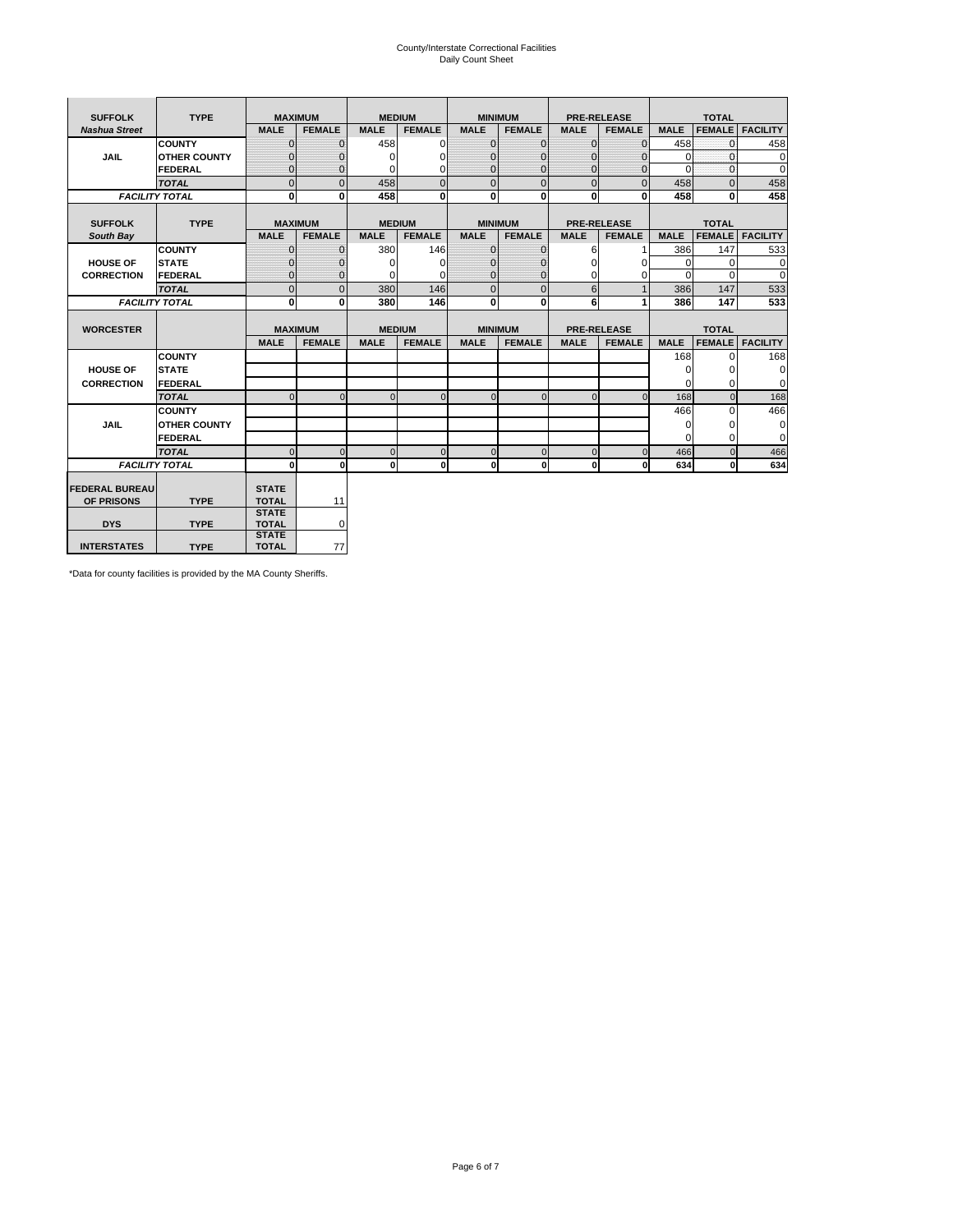# County/Interstate Correctional Facilities Daily Count Sheet

| <b>SUFFOLK</b><br><b>TYPE</b> |                       | <b>MAXIMUM</b>               |                | <b>MEDIUM</b> |               | <b>MINIMUM</b> |                | <b>PRE-RELEASE</b> |                    | <b>TOTAL</b> |               |                 |  |
|-------------------------------|-----------------------|------------------------------|----------------|---------------|---------------|----------------|----------------|--------------------|--------------------|--------------|---------------|-----------------|--|
| <b>Nashua Street</b>          |                       | <b>MALE</b>                  | <b>FEMALE</b>  | <b>MALE</b>   | <b>FEMALE</b> | <b>MALE</b>    | <b>FEMALE</b>  | <b>MALE</b>        | <b>FEMALE</b>      | <b>MALE</b>  | <b>FEMALE</b> | <b>FACILITY</b> |  |
|                               | <b>COUNTY</b>         | $\Omega$                     | $\mathbf{0}$   | 458           | $\Omega$      | $\mathbf{0}$   | $\Omega$       | $\mathbf{0}$       | $\Omega$           | 458          | $\Omega$      | 458             |  |
| JAIL                          | <b>OTHER COUNTY</b>   | $\Omega$                     | $\Omega$       | $\Omega$      | 0             | $\Omega$       | $\Omega$       | $\Omega$           | $\Omega$           | $\Omega$     | $\Omega$      | 0               |  |
|                               | <b>FEDERAL</b>        | $\mathbf{0}$                 | $\mathbf{0}$   | 0             | 0             | $\mathbf{0}$   | $\mathbf{0}$   | $\mathbf 0$        | $\mathbf{0}$       | $\Omega$     | 0             | 0               |  |
|                               | <b>TOTAL</b>          | $\Omega$                     | $\Omega$       | 458           | $\Omega$      | $\overline{0}$ | $\Omega$       | $\Omega$           | $\Omega$           | 458          | $\Omega$      | 458             |  |
|                               | <b>FACILITY TOTAL</b> | 0                            | $\mathbf{0}$   | 458           | 0             | $\mathbf{0}$   | $\bf{0}$       | $\mathbf{0}$       | 0                  | 458          | 0             | 458             |  |
|                               |                       |                              |                |               |               |                |                |                    |                    |              |               |                 |  |
| <b>SUFFOLK</b>                | <b>TYPE</b>           |                              | <b>MAXIMUM</b> | <b>MEDIUM</b> |               |                | <b>MINIMUM</b> |                    | <b>PRE-RELEASE</b> |              | <b>TOTAL</b>  |                 |  |
| South Bay                     |                       | <b>MALE</b>                  | <b>FEMALE</b>  | <b>MALE</b>   | <b>FEMALE</b> | <b>MALE</b>    | <b>FEMALE</b>  | <b>MALE</b>        | <b>FEMALE</b>      | <b>MALE</b>  | <b>FEMALE</b> | <b>FACILITY</b> |  |
|                               | <b>COUNTY</b>         | $\Omega$                     | $\mathbf{0}$   | 380           | 146           | $\mathbf{0}$   | $\mathbf{0}$   | 6                  |                    | 386          | 147           | 533             |  |
| <b>HOUSE OF</b>               | <b>STATE</b>          |                              | $\overline{0}$ | $\Omega$      | $\Omega$      | $\Omega$       | O              | $\Omega$           | $\Omega$           | $\Omega$     | $\Omega$      | 0               |  |
| <b>CORRECTION</b>             | <b>FEDERAL</b>        | $\Omega$                     | $\overline{0}$ | 0             | $\Omega$      | $\mathbf{0}$   | $\Omega$       | $\Omega$           | 0                  | $\Omega$     | $\Omega$      | $\Omega$        |  |
|                               | <b>TOTAL</b>          | $\Omega$                     | $\overline{0}$ | 380           | 146           | $\mathbf{0}$   | $\mathbf{0}$   | 6                  | $\mathbf{1}$       | 386          | 147           | 533             |  |
|                               | <b>FACILITY TOTAL</b> | 0                            | 0              | 380           | 146           | $\mathbf{0}$   | 0              | 6                  | 1                  | 386          | 147           | 533             |  |
|                               |                       |                              |                |               |               |                |                |                    |                    |              |               |                 |  |
| <b>WORCESTER</b>              |                       |                              | <b>MAXIMUM</b> | <b>MEDIUM</b> |               |                | <b>MINIMUM</b> |                    | <b>PRE-RELEASE</b> |              | <b>TOTAL</b>  |                 |  |
|                               |                       | <b>MALE</b>                  | <b>FEMALE</b>  | <b>MALE</b>   | <b>FEMALE</b> | <b>MALE</b>    | <b>FEMALE</b>  | <b>MALE</b>        | <b>FEMALE</b>      | <b>MALE</b>  | <b>FEMALE</b> | <b>FACILITY</b> |  |
|                               | <b>COUNTY</b>         |                              |                |               |               |                |                |                    |                    | 168          | $\Omega$      | 168             |  |
| <b>HOUSE OF</b>               | <b>STATE</b>          |                              |                |               |               |                |                |                    |                    | 0            | 0             | 0               |  |
| <b>CORRECTION</b>             | FEDERAL               |                              |                |               |               |                |                |                    |                    | $\Omega$     | $\Omega$      | 0               |  |
|                               | <b>TOTAL</b>          | $\Omega$                     | $\mathbf{0}$   | $\Omega$      | $\mathbf 0$   | $\mathbf{0}$   | $\mathbf{0}$   | $\mathbf{0}$       | $\Omega$           | 168          | $\mathbf{0}$  | 168             |  |
|                               | <b>COUNTY</b>         |                              |                |               |               |                |                |                    |                    | 466          | $\Omega$      | 466             |  |
| <b>JAIL</b>                   | <b>OTHER COUNTY</b>   |                              |                |               |               |                |                |                    |                    | $\Omega$     | $\Omega$      | 0               |  |
|                               | FEDERAL               |                              |                |               |               |                |                |                    |                    | $\Omega$     | $\Omega$      | $\mathbf 0$     |  |
|                               | <b>TOTAL</b>          | $\cap$                       | $\Omega$       | $\Omega$      | $\mathbf{0}$  | $\mathbf{0}$   | $\Omega$       | $\Omega$           | $\Omega$           | 466          | $\Omega$      | 466             |  |
|                               | <b>FACILITY TOTAL</b> | $\Omega$                     | 0              | $\Omega$      | 0             | $\mathbf{0}$   | $\bf{0}$       | $\mathbf 0$        | 0                  | 634          | O             | 634             |  |
|                               |                       |                              |                |               |               |                |                |                    |                    |              |               |                 |  |
| <b>FEDERAL BUREAU</b>         |                       | <b>STATE</b>                 |                |               |               |                |                |                    |                    |              |               |                 |  |
| OF PRISONS                    | <b>TYPE</b>           | <b>TOTAL</b><br><b>STATE</b> | 11             |               |               |                |                |                    |                    |              |               |                 |  |
| <b>DYS</b>                    | <b>TYPE</b>           | <b>TOTAL</b>                 | 0              |               |               |                |                |                    |                    |              |               |                 |  |
|                               |                       | <b>STATE</b>                 |                |               |               |                |                |                    |                    |              |               |                 |  |
| <b>INTERSTATES</b>            | <b>TYPE</b>           | <b>TOTAL</b>                 | 77             |               |               |                |                |                    |                    |              |               |                 |  |

\*Data for county facilities is provided by the MA County Sheriffs.